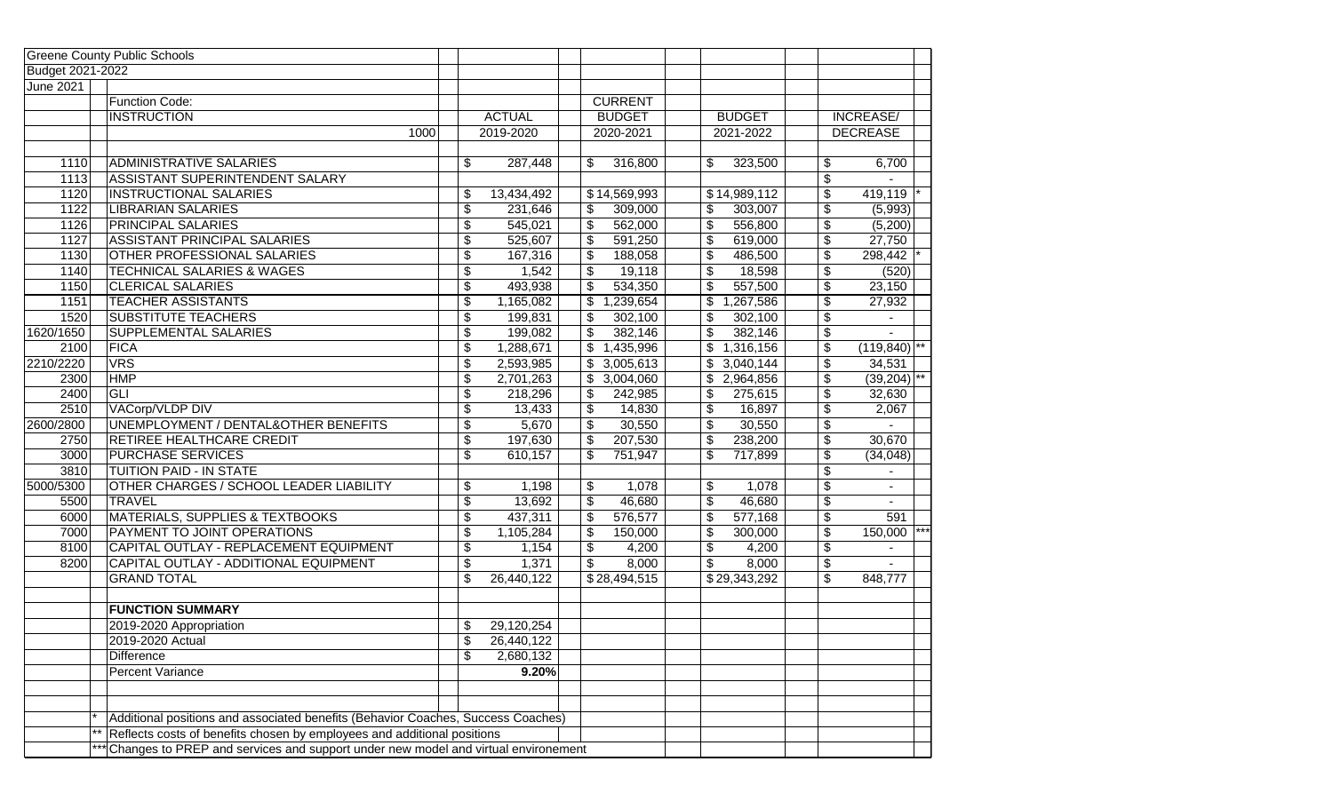|                  | <b>Greene County Public Schools</b>                                                   |                           |               |                            |                           |                            |    |                  |
|------------------|---------------------------------------------------------------------------------------|---------------------------|---------------|----------------------------|---------------------------|----------------------------|----|------------------|
| Budget 2021-2022 |                                                                                       |                           |               |                            |                           |                            |    |                  |
| <b>June 2021</b> |                                                                                       |                           |               |                            |                           |                            |    |                  |
|                  | Function Code:                                                                        |                           |               | <b>CURRENT</b>             |                           |                            |    |                  |
|                  | <b>INSTRUCTION</b>                                                                    |                           | <b>ACTUAL</b> | <b>BUDGET</b>              |                           | <b>BUDGET</b>              |    | <b>INCREASE/</b> |
|                  | 1000                                                                                  |                           | 2019-2020     | 2020-2021                  |                           | 2021-2022                  |    | <b>DECREASE</b>  |
|                  |                                                                                       |                           |               |                            |                           |                            |    |                  |
| 1110             | <b>ADMINISTRATIVE SALARIES</b>                                                        | \$                        | 287,448       | \$<br>316,800              | \$                        | 323,500                    | \$ | 6,700            |
| 1113             | ASSISTANT SUPERINTENDENT SALARY                                                       |                           |               |                            |                           |                            | \$ |                  |
| 1120             | <b>INSTRUCTIONAL SALARIES</b>                                                         | \$                        | 13,434,492    | $\overline{$}14,569,993$   |                           | \$14,989,112               | \$ | 419,119          |
| 1122             | <b>LIBRARIAN SALARIES</b>                                                             | \$                        | 231,646       | \$<br>309,000              | \$                        | 303,007                    | \$ | (5,993)          |
| 1126             | <b>PRINCIPAL SALARIES</b>                                                             | \$                        | 545,021       | \$<br>562,000              | \$                        | 556,800                    | \$ | (5,200)          |
| 1127             | <b>ASSISTANT PRINCIPAL SALARIES</b>                                                   | \$                        | 525,607       | $\overline{\$}$<br>591,250 | \$                        | 619,000                    | \$ | 27,750           |
| 1130             | OTHER PROFESSIONAL SALARIES                                                           | \$                        | 167,316       | \$<br>188,058              | \$                        | 486,500                    | \$ | 298,442          |
| 1140             | <b>TECHNICAL SALARIES &amp; WAGES</b>                                                 | \$                        | 1,542         | \$<br>19,118               | \$                        | 18,598                     | \$ | (520)            |
| 1150             | <b>CLERICAL SALARIES</b>                                                              | \$                        | 493,938       | \$<br>534,350              | \$                        | 557,500                    | \$ | 23,150           |
| 1151             | <b>TEACHER ASSISTANTS</b>                                                             | \$                        | 1,165,082     | \$<br>1,239,654            | \$                        | 1,267,586                  | \$ | 27,932           |
| 1520             | SUBSTITUTE TEACHERS                                                                   | \$                        | 199,831       | 302,100<br>\$              | \$                        | 302,100                    | \$ |                  |
| 1620/1650        | SUPPLEMENTAL SALARIES                                                                 | \$                        | 199,082       | \$<br>382,146              | \$                        | 382,146                    | \$ |                  |
| 2100             | <b>FICA</b>                                                                           | \$                        | 1,288,671     | \$<br>1,435,996            |                           | $\mathsf{\$}$<br>1,316,156 | \$ | (119, 840)       |
| 2210/2220        | <b>VRS</b>                                                                            | \$                        | 2,593,985     | 3,005,613<br>\$            |                           | $\sqrt[6]{2}$<br>3,040,144 | \$ | 34,531           |
| 2300             | <b>HMP</b>                                                                            | \$                        | 2,701,263     | 3,004,060<br>\$            |                           | 2,964,856                  | \$ | $(39,204)^{**}$  |
| 2400             | GLI                                                                                   | \$                        | 218,296       | \$<br>242,985              | \$                        | 275,615                    | \$ | 32,630           |
| 2510             | VACorp/VLDP DIV                                                                       | \$                        | 13,433        | \$<br>14,830               | \$                        | 16,897                     | \$ | 2,067            |
| 2600/2800        | UNEMPLOYMENT / DENTAL&OTHER BENEFITS                                                  | \$                        | 5,670         | \$<br>30,550               | $\boldsymbol{\mathsf{S}}$ | 30,550                     | \$ |                  |
| 2750             | RETIREE HEALTHCARE CREDIT                                                             | \$                        | 197,630       | $\sqrt{2}$<br>207,530      | $\boldsymbol{\mathsf{S}}$ | 238,200                    | \$ | 30,670           |
| 3000             | <b>PURCHASE SERVICES</b>                                                              | \$                        | 610,157       | \$<br>751,947              | \$                        | 717,899                    | \$ | (34, 048)        |
| 3810             | TUITION PAID - IN STATE                                                               |                           |               |                            |                           |                            | \$ |                  |
| 5000/5300        | OTHER CHARGES / SCHOOL LEADER LIABILITY                                               | \$                        | 1,198         | 1,078<br>\$                | \$                        | 1,078                      | \$ | $\blacksquare$   |
| 5500             | <b>TRAVEL</b>                                                                         | \$                        | 13,692        | \$<br>46,680               | \$                        | 46,680                     | \$ | $\sim$           |
| 6000             | <b>MATERIALS, SUPPLIES &amp; TEXTBOOKS</b>                                            | \$                        | 437,311       | \$<br>576,577              | \$                        | 577,168                    | \$ | 591              |
| 7000             | PAYMENT TO JOINT OPERATIONS                                                           | \$                        | 1,105,284     | \$<br>150,000              | $\boldsymbol{\mathsf{S}}$ | 300,000                    | \$ | 150,000          |
| 8100             | CAPITAL OUTLAY - REPLACEMENT EQUIPMENT                                                | \$                        | 1,154         | \$<br>4,200                | \$                        | 4,200                      | \$ |                  |
| 8200             | CAPITAL OUTLAY - ADDITIONAL EQUIPMENT                                                 | \$                        | 1,371         | \$<br>8,000                | \$                        | 8,000                      | \$ |                  |
|                  | <b>GRAND TOTAL</b>                                                                    | \$                        | 26,440,122    | \$28,494,515               |                           | \$29,343,292               | \$ | 848,777          |
|                  |                                                                                       |                           |               |                            |                           |                            |    |                  |
|                  | <b>FUNCTION SUMMARY</b>                                                               |                           |               |                            |                           |                            |    |                  |
|                  | 2019-2020 Appropriation                                                               | \$                        | 29,120,254    |                            |                           |                            |    |                  |
|                  | 2019-2020 Actual                                                                      | $\overline{\mathfrak{s}}$ | 26,440,122    |                            |                           |                            |    |                  |
|                  | <b>Difference</b>                                                                     | \$                        | 2,680,132     |                            |                           |                            |    |                  |
|                  | <b>Percent Variance</b>                                                               |                           | 9.20%         |                            |                           |                            |    |                  |
|                  |                                                                                       |                           |               |                            |                           |                            |    |                  |
|                  |                                                                                       |                           |               |                            |                           |                            |    |                  |
|                  | Additional positions and associated benefits (Behavior Coaches, Success Coaches)      |                           |               |                            |                           |                            |    |                  |
|                  | ** Reflects costs of benefits chosen by employees and additional positions            |                           |               |                            |                           |                            |    |                  |
|                  | *** Changes to PREP and services and support under new model and virtual environement |                           |               |                            |                           |                            |    |                  |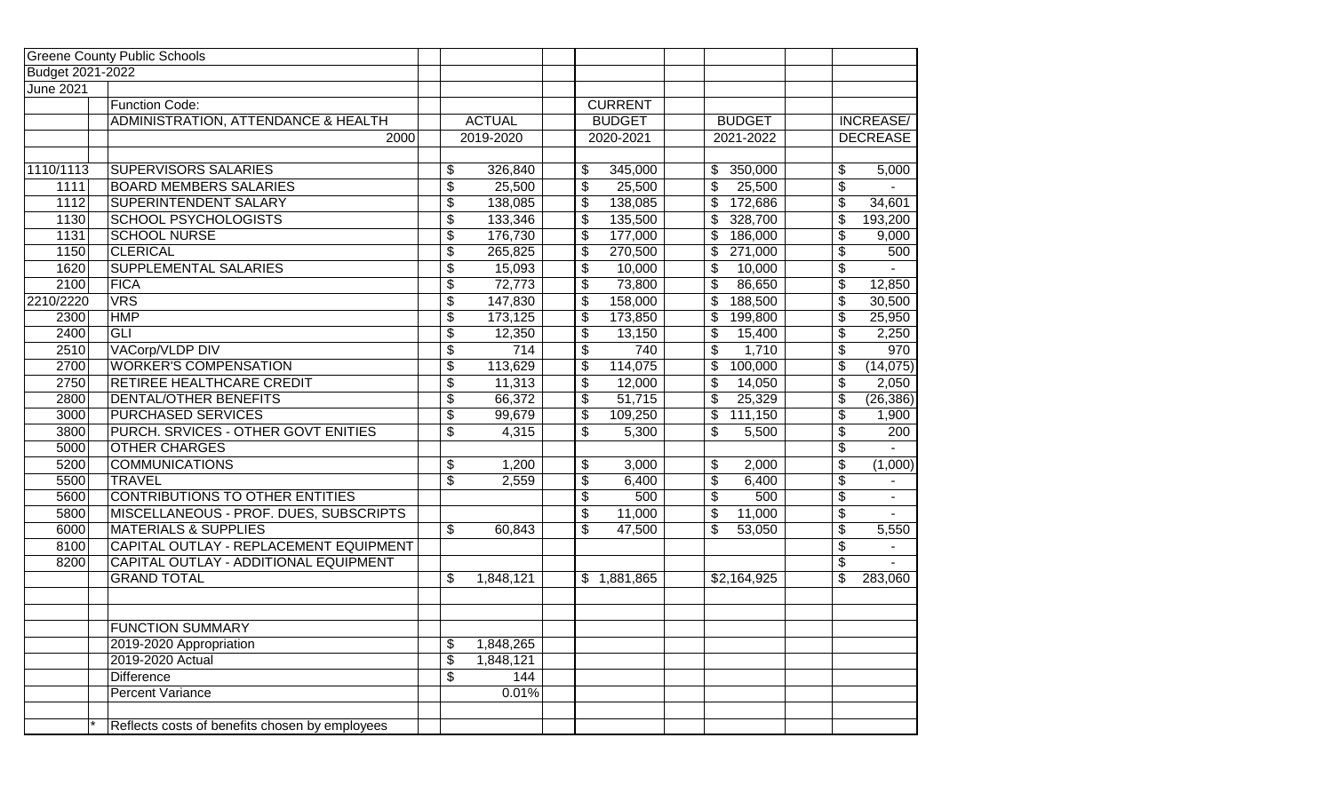|                  | <b>Greene County Public Schools</b>            |                                      |               |                           |                |                           |               |                          |                    |
|------------------|------------------------------------------------|--------------------------------------|---------------|---------------------------|----------------|---------------------------|---------------|--------------------------|--------------------|
| Budget 2021-2022 |                                                |                                      |               |                           |                |                           |               |                          |                    |
| <b>June 2021</b> |                                                |                                      |               |                           |                |                           |               |                          |                    |
|                  | <b>Function Code:</b>                          |                                      |               |                           | <b>CURRENT</b> |                           |               |                          |                    |
|                  | <b>ADMINISTRATION, ATTENDANCE &amp; HEALTH</b> |                                      | <b>ACTUAL</b> |                           | <b>BUDGET</b>  |                           | <b>BUDGET</b> |                          | <b>INCREASE/</b>   |
|                  | 2000                                           |                                      | 2019-2020     |                           | 2020-2021      |                           | 2021-2022     |                          | <b>DECREASE</b>    |
|                  |                                                |                                      |               |                           |                |                           |               |                          |                    |
| 1110/1113        | <b>SUPERVISORS SALARIES</b>                    | \$                                   | 326,840       | \$                        | 345,000        | \$                        | 350,000       | \$                       | 5,000              |
| 1111             | <b>BOARD MEMBERS SALARIES</b>                  | \$                                   | 25,500        | \$                        | 25,500         | $\overline{\mathcal{S}}$  | 25,500        | \$                       |                    |
| 1112             | SUPERINTENDENT SALARY                          | $\overline{\boldsymbol{\mathsf{s}}}$ | 138,085       | \$                        | 138,085        | \$                        | 172,686       | $\overline{\mathbf{e}}$  | 34,601             |
| 1130             | <b>SCHOOL PSYCHOLOGISTS</b>                    | \$                                   | 133,346       | \$                        | 135,500        | \$                        | 328,700       | $\overline{\mathcal{G}}$ | 193,200            |
| 1131             | <b>SCHOOL NURSE</b>                            | \$                                   | 176,730       | \$                        | 177,000        | $\overline{\$}$           | 186,000       | $\overline{\mathcal{G}}$ | $\overline{9,000}$ |
| 1150             | <b>CLERICAL</b>                                | \$                                   | 265,825       | \$                        | 270,500        | \$                        | 271,000       | $\overline{\mathcal{S}}$ | 500                |
| 1620             | <b>SUPPLEMENTAL SALARIES</b>                   | $\overline{\$}$                      | 15,093        | \$                        | 10,000         | \$                        | 10,000        | \$                       | $\sim$             |
| 2100             | <b>FICA</b>                                    | $\overline{\$}$                      | 72,773        | $\overline{\$}$           | 73,800         | $\overline{\$}$           | 86,650        | $\overline{\$}$          | 12,850             |
| 2210/2220        | $\overline{\text{VRS}}$                        | $\overline{\$}$                      | 147,830       | \$                        | 158,000        | $\overline{\$}$           | 188,500       | $\overline{\$}$          | 30,500             |
| 2300             | <b>HMP</b>                                     | $\overline{\$}$                      | 173,125       | $\overline{\$}$           | 173,850        | $\overline{\mathcal{S}}$  | 199,800       | $\overline{\$}$          | 25,950             |
| 2400             | $\overline{G}$                                 | \$                                   | 12,350        | \$                        | 13,150         | \$                        | 15,400        | \$                       | 2,250              |
| 2510             | VACorp/VLDP DIV                                | $\overline{\$}$                      | 714           | $\overline{\$}$           | 740            | $\overline{\$}$           | 1,710         | $\overline{\$}$          | 970                |
| 2700             | <b>WORKER'S COMPENSATION</b>                   | $\overline{\$}$                      | 113,629       | \$                        | 114,075        | $\overline{\$}$           | 100,000       | \$                       | (14,075)           |
| 2750             | RETIREE HEALTHCARE CREDIT                      | $\overline{\$}$                      | 11,313        | $\overline{\$}$           | 12,000         | $\overline{\$}$           | 14,050        | $\overline{\$}$          | 2,050              |
| 2800             | DENTAL/OTHER BENEFITS                          | $\overline{\$}$                      | 66,372        | $\overline{\mathfrak{s}}$ | 51,715         | $\overline{\mathcal{L}}$  | 25,329        | $\overline{\$}$          | (26, 386)          |
| 3000             | <b>PURCHASED SERVICES</b>                      | $\overline{\$}$                      | 99,679        | \$                        | 109,250        | $\overline{\mathcal{L}}$  | 111,150       | $\overline{\mathcal{L}}$ | 1,900              |
| 3800             | PURCH. SRVICES - OTHER GOVT ENITIES            | $\overline{\$}$                      | 4,315         | $\overline{\$}$           | 5,300          | $\overline{\mathfrak{s}}$ | 5,500         | $\overline{\$}$          | 200                |
| 5000             | <b>OTHER CHARGES</b>                           |                                      |               |                           |                |                           |               | $\overline{\mathcal{E}}$ |                    |
| 5200             | <b>COMMUNICATIONS</b>                          | \$                                   | 1,200         | \$                        | 3,000          | \$                        | 2,000         | $\overline{\$}$          | (1,000)            |
| 5500             | <b>TRAVEL</b>                                  | $\overline{\mathcal{E}}$             | 2,559         | \$                        | 6,400          | $\overline{\mathcal{S}}$  | 6,400         | \$                       |                    |
| 5600             | <b>CONTRIBUTIONS TO OTHER ENTITIES</b>         |                                      |               | $\overline{\$}$           | 500            | $\overline{\$}$           | 500           | $\overline{\$}$          |                    |
| 5800             | MISCELLANEOUS - PROF. DUES, SUBSCRIPTS         |                                      |               | \$                        | 11,000         | $\overline{\mathcal{S}}$  | 11,000        | $\overline{\mathcal{G}}$ |                    |
| 6000             | <b>MATERIALS &amp; SUPPLIES</b>                | \$                                   | 60,843        | \$                        | 47,500         | $\overline{\mathcal{S}}$  | 53,050        | \$                       | 5,550              |
| 8100             | CAPITAL OUTLAY - REPLACEMENT EQUIPMENT         |                                      |               |                           |                |                           |               | \$                       |                    |
| 8200             | CAPITAL OUTLAY - ADDITIONAL EQUIPMENT          |                                      |               |                           |                |                           |               | $\overline{\mathbf{e}}$  |                    |
|                  | <b>GRAND TOTAL</b>                             | \$                                   | 1,848,121     |                           | \$1,881,865    |                           | \$2,164,925   | \$                       | 283,060            |
|                  |                                                |                                      |               |                           |                |                           |               |                          |                    |
|                  |                                                |                                      |               |                           |                |                           |               |                          |                    |
|                  | <b>FUNCTION SUMMARY</b>                        |                                      |               |                           |                |                           |               |                          |                    |
|                  | 2019-2020 Appropriation                        | \$                                   | 1,848,265     |                           |                |                           |               |                          |                    |
|                  | 2019-2020 Actual                               | \$                                   | 1,848,121     |                           |                |                           |               |                          |                    |
|                  | <b>Difference</b>                              | \$                                   | 144           |                           |                |                           |               |                          |                    |
|                  | <b>Percent Variance</b>                        |                                      | 0.01%         |                           |                |                           |               |                          |                    |
|                  |                                                |                                      |               |                           |                |                           |               |                          |                    |
|                  | Reflects costs of benefits chosen by employees |                                      |               |                           |                |                           |               |                          |                    |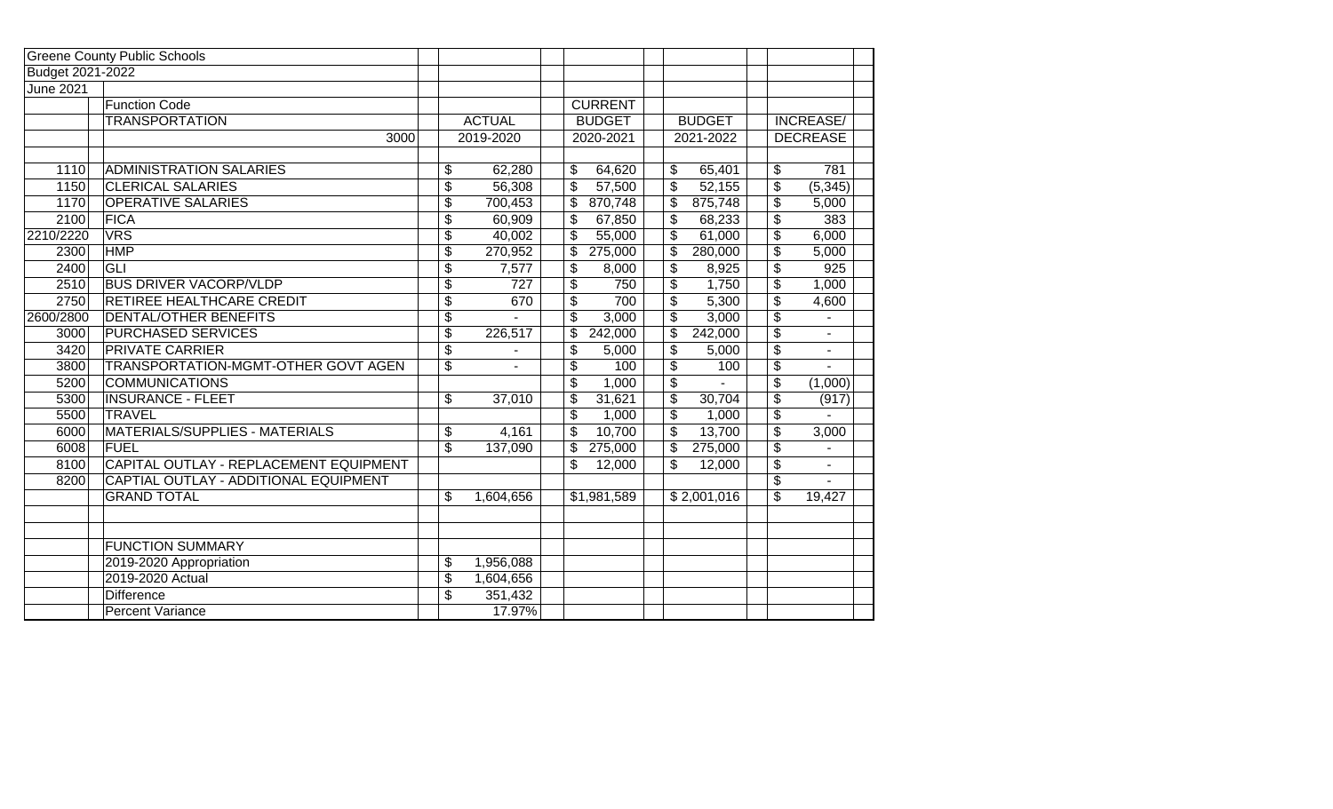|                  | <b>Greene County Public Schools</b>    |                          |                |                                    |                           |               |                          |                  |
|------------------|----------------------------------------|--------------------------|----------------|------------------------------------|---------------------------|---------------|--------------------------|------------------|
| Budget 2021-2022 |                                        |                          |                |                                    |                           |               |                          |                  |
| <b>June 2021</b> |                                        |                          |                |                                    |                           |               |                          |                  |
|                  | <b>Function Code</b>                   |                          |                | <b>CURRENT</b>                     |                           |               |                          |                  |
|                  | <b>TRANSPORTATION</b>                  |                          | <b>ACTUAL</b>  | <b>BUDGET</b>                      |                           | <b>BUDGET</b> |                          | <b>INCREASE/</b> |
|                  | 3000                                   |                          | 2019-2020      | 2020-2021                          |                           | 2021-2022     |                          | <b>DECREASE</b>  |
|                  |                                        |                          |                |                                    |                           |               |                          |                  |
| 1110             | <b>ADMINISTRATION SALARIES</b>         | \$                       | 62,280         | 64,620<br>\$                       | \$                        | 65,401        | \$                       | 781              |
| 1150             | <b>CLERICAL SALARIES</b>               | \$                       | 56,308         | \$<br>57,500                       | \$                        | 52,155        | $\overline{\mathbf{e}}$  | (5, 345)         |
| 1170             | <b>OPERATIVE SALARIES</b>              | \$                       | 700,453        | \$<br>870,748                      | \$                        | 875,748       | \$                       | 5,000            |
| 2100             | <b>FICA</b>                            | \$                       | 60,909         | \$<br>67,850                       | $\overline{\mathbf{3}}$   | 68,233        | $\overline{\$}$          | 383              |
| 2210/2220        | <b>VRS</b>                             | \$                       | 40,002         | $\overline{\mathcal{E}}$<br>55,000 | \$                        | 61,000        | $\overline{\$}$          | 6,000            |
| 2300             | <b>HMP</b>                             | \$                       | 270,952        | \$<br>275,000                      | \$                        | 280,000       | $\overline{\$}$          | 5,000            |
| 2400             | GLI                                    | \$                       | 7,577          | \$<br>8,000                        | \$                        | 8,925         | $\overline{\$}$          | 925              |
| 2510             | <b>BUS DRIVER VACORP/VLDP</b>          | \$                       | 727            | \$<br>750                          | \$                        | 1,750         | $\overline{\$}$          | 1,000            |
| 2750             | RETIREE HEALTHCARE CREDIT              | $\overline{\$}$          | 670            | $\overline{\$}$<br>700             | $\overline{\$}$           | 5,300         | $\overline{\$}$          | 4,600            |
| 2600/2800        | DENTAL/OTHER BENEFITS                  | \$                       |                | \$<br>3,000                        | \$                        | 3,000         | $\overline{\$}$          |                  |
| 3000             | PURCHASED SERVICES                     | \$                       | 226,517        | \$<br>242,000                      | \$                        | 242,000       | $\overline{\$}$          | $\blacksquare$   |
| 3420             | <b>PRIVATE CARRIER</b>                 | \$                       |                | \$<br>5,000                        | \$                        | 5,000         | $\overline{\$}$          | $\blacksquare$   |
| 3800             | TRANSPORTATION-MGMT-OTHER GOVT AGEN    | $\overline{\mathcal{L}}$ | $\overline{a}$ | \$<br>100                          | \$                        | 100           | $\overline{\$}$          |                  |
| 5200             | <b>COMMUNICATIONS</b>                  |                          |                | \$<br>1,000                        | \$                        |               | $\overline{\$}$          | (1,000)          |
| 5300             | <b>INSURANCE - FLEET</b>               | \$                       | 37,010         | \$<br>31,621                       | $\overline{\mathfrak{s}}$ | 30,704        | \$                       | (917)            |
| 5500             | <b>TRAVEL</b>                          |                          |                | $\overline{\mathcal{E}}$<br>1,000  | \$                        | 1,000         | $\overline{\mathcal{E}}$ |                  |
| 6000             | MATERIALS/SUPPLIES - MATERIALS         | \$                       | 4,161          | \$<br>10,700                       | \$                        | 13,700        | $\overline{\mathbf{3}}$  | 3,000            |
| 6008             | <b>FUEL</b>                            | \$                       | 137,090        | \$<br>275,000                      | $\overline{\mathcal{L}}$  | 275,000       | $\overline{\mathcal{E}}$ |                  |
| 8100             | CAPITAL OUTLAY - REPLACEMENT EQUIPMENT |                          |                | \$<br>12,000                       | \$                        | 12,000        | $\overline{\mathbf{S}}$  | $\blacksquare$   |
| 8200             | CAPTIAL OUTLAY - ADDITIONAL EQUIPMENT  |                          |                |                                    |                           |               | $\overline{\mathbf{e}}$  | $\blacksquare$   |
|                  | <b>GRAND TOTAL</b>                     | \$                       | 1,604,656      | \$1,981,589                        |                           | \$2,001,016   | $\overline{\mathcal{S}}$ | 19,427           |
|                  |                                        |                          |                |                                    |                           |               |                          |                  |
|                  | <b>FUNCTION SUMMARY</b>                |                          |                |                                    |                           |               |                          |                  |
|                  | 2019-2020 Appropriation                | \$                       | 1,956,088      |                                    |                           |               |                          |                  |
|                  | 2019-2020 Actual                       | \$                       | 1,604,656      |                                    |                           |               |                          |                  |
|                  | <b>Difference</b>                      | \$                       | 351,432        |                                    |                           |               |                          |                  |
|                  | <b>Percent Variance</b>                |                          | 17.97%         |                                    |                           |               |                          |                  |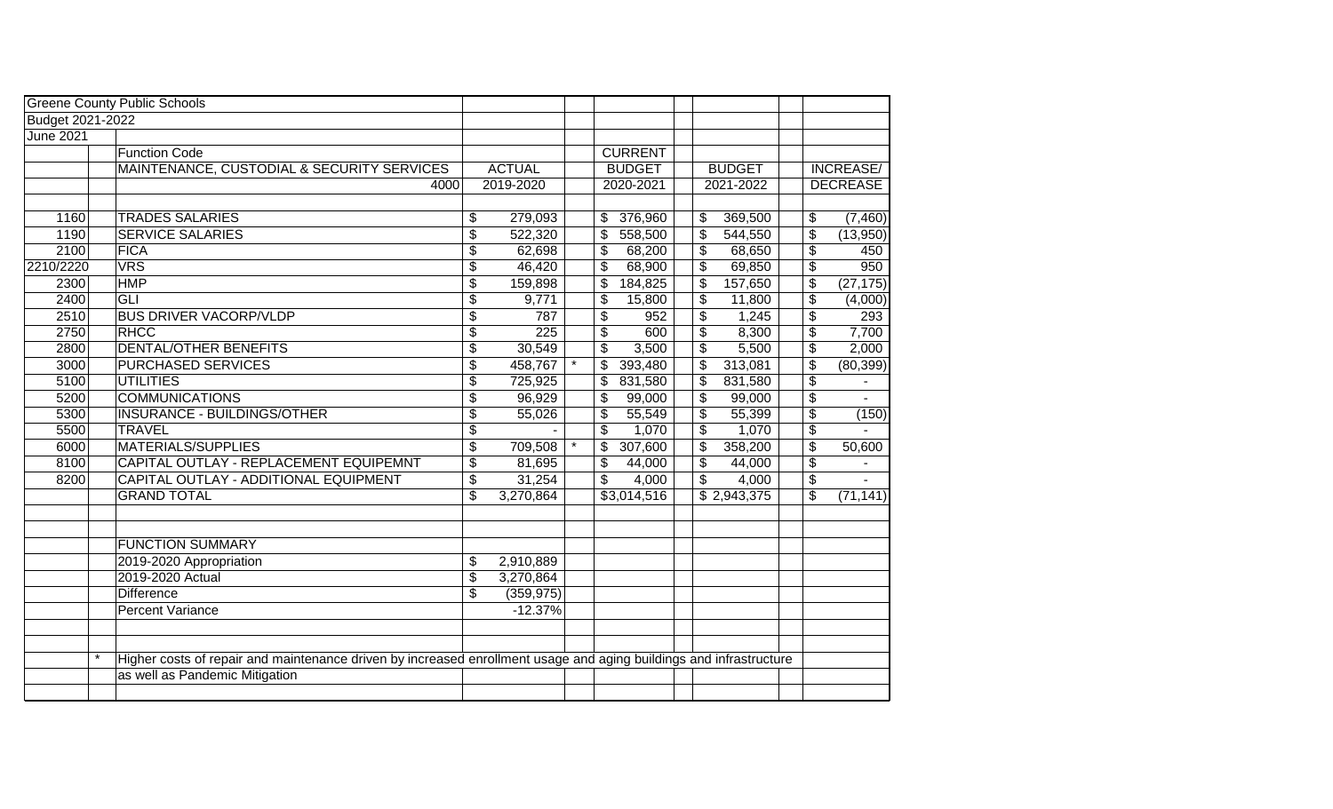|                  |         | <b>Greene County Public Schools</b>                                                                                |                                      |               |    |                |               |                         |                 |
|------------------|---------|--------------------------------------------------------------------------------------------------------------------|--------------------------------------|---------------|----|----------------|---------------|-------------------------|-----------------|
| Budget 2021-2022 |         |                                                                                                                    |                                      |               |    |                |               |                         |                 |
| <b>June 2021</b> |         |                                                                                                                    |                                      |               |    |                |               |                         |                 |
|                  |         | <b>Function Code</b>                                                                                               |                                      |               |    | <b>CURRENT</b> |               |                         |                 |
|                  |         | MAINTENANCE, CUSTODIAL & SECURITY SERVICES                                                                         |                                      | <b>ACTUAL</b> |    | <b>BUDGET</b>  | <b>BUDGET</b> |                         | INCREASE/       |
|                  |         | 4000                                                                                                               |                                      | 2019-2020     |    | 2020-2021      | 2021-2022     |                         | <b>DECREASE</b> |
|                  |         |                                                                                                                    |                                      |               |    |                |               |                         |                 |
| 1160             |         | <b>TRADES SALARIES</b>                                                                                             | \$                                   | 279,093       | \$ | 376,960        | \$<br>369,500 | \$                      | (7,460)         |
| 1190             |         | <b>SERVICE SALARIES</b>                                                                                            | \$                                   | 522,320       | \$ | 558,500        | \$<br>544,550 | \$                      | (13,950)        |
| 2100             |         | FICA                                                                                                               | \$                                   | 62,698        | \$ | 68,200         | \$<br>68,650  | \$                      | 450             |
| 2210/2220        |         | <b>VRS</b>                                                                                                         | \$                                   | 46,420        | \$ | 68,900         | \$<br>69,850  | \$                      | 950             |
| 2300             |         | <b>HMP</b>                                                                                                         | \$                                   | 159,898       | \$ | 184,825        | \$<br>157,650 | \$                      | (27, 175)       |
| 2400             |         | GLI                                                                                                                | \$                                   | 9,771         | \$ | 15,800         | \$<br>11,800  | \$                      | (4,000)         |
| 2510             |         | <b>BUS DRIVER VACORP/VLDP</b>                                                                                      | \$                                   | 787           | \$ | 952            | \$<br>1,245   | \$                      | 293             |
| 2750             |         | <b>RHCC</b>                                                                                                        | \$                                   | 225           | \$ | 600            | \$<br>8,300   | $\overline{\mathbf{e}}$ | 7,700           |
| 2800             |         | <b>DENTAL/OTHER BENEFITS</b>                                                                                       | \$                                   | 30,549        | \$ | 3,500          | \$<br>5,500   | $\overline{\mathbf{e}}$ | 2,000           |
| 3000             |         | <b>PURCHASED SERVICES</b>                                                                                          | $\overline{\mathfrak{s}}$            | 458,767       | \$ | 393,480        | \$<br>313,081 | \$                      | (80, 399)       |
| 5100             |         | UTILITIES                                                                                                          | \$                                   | 725,925       | \$ | 831,580        | \$<br>831,580 | \$                      |                 |
| 5200             |         | <b>COMMUNICATIONS</b>                                                                                              | $\overline{\mathfrak{s}}$            | 96,929        | \$ | 99,000         | \$<br>99,000  | $\overline{\mathbf{e}}$ |                 |
| 5300             |         | INSURANCE - BUILDINGS/OTHER                                                                                        | \$                                   | 55,026        | \$ | 55,549         | \$<br>55,399  | $\overline{\mathbf{e}}$ | (150)           |
| 5500             |         | <b>TRAVEL</b>                                                                                                      | \$                                   |               | \$ | 1,070          | \$<br>1,070   | $\overline{\mathbf{e}}$ |                 |
| 6000             |         | <b>MATERIALS/SUPPLIES</b>                                                                                          | $\overline{\boldsymbol{\mathsf{s}}}$ | 709,508       | \$ | 307,600        | \$<br>358,200 | $\overline{\mathbf{e}}$ | 50,600          |
| 8100             |         | CAPITAL OUTLAY - REPLACEMENT EQUIPEMNT                                                                             | \$                                   | 81,695        | \$ | 44,000         | \$<br>44,000  | \$                      |                 |
| 8200             |         | CAPITAL OUTLAY - ADDITIONAL EQUIPMENT                                                                              | \$                                   | 31,254        | \$ | 4,000          | \$<br>4,000   | \$                      |                 |
|                  |         | <b>GRAND TOTAL</b>                                                                                                 | $\overline{\mathfrak{s}}$            | 3,270,864     |    | \$3,014,516    | \$2,943,375   | \$                      | (71, 141)       |
|                  |         |                                                                                                                    |                                      |               |    |                |               |                         |                 |
|                  |         |                                                                                                                    |                                      |               |    |                |               |                         |                 |
|                  |         | <b>FUNCTION SUMMARY</b>                                                                                            |                                      |               |    |                |               |                         |                 |
|                  |         | 2019-2020 Appropriation                                                                                            | \$                                   | 2,910,889     |    |                |               |                         |                 |
|                  |         | 2019-2020 Actual                                                                                                   | $\overline{\$}$                      | 3,270,864     |    |                |               |                         |                 |
|                  |         | <b>Difference</b>                                                                                                  | \$                                   | (359, 975)    |    |                |               |                         |                 |
|                  |         | Percent Variance                                                                                                   |                                      | $-12.37%$     |    |                |               |                         |                 |
|                  |         |                                                                                                                    |                                      |               |    |                |               |                         |                 |
|                  |         |                                                                                                                    |                                      |               |    |                |               |                         |                 |
|                  | $\star$ | Higher costs of repair and maintenance driven by increased enrollment usage and aging buildings and infrastructure |                                      |               |    |                |               |                         |                 |
|                  |         | as well as Pandemic Mitigation                                                                                     |                                      |               |    |                |               |                         |                 |
|                  |         |                                                                                                                    |                                      |               |    |                |               |                         |                 |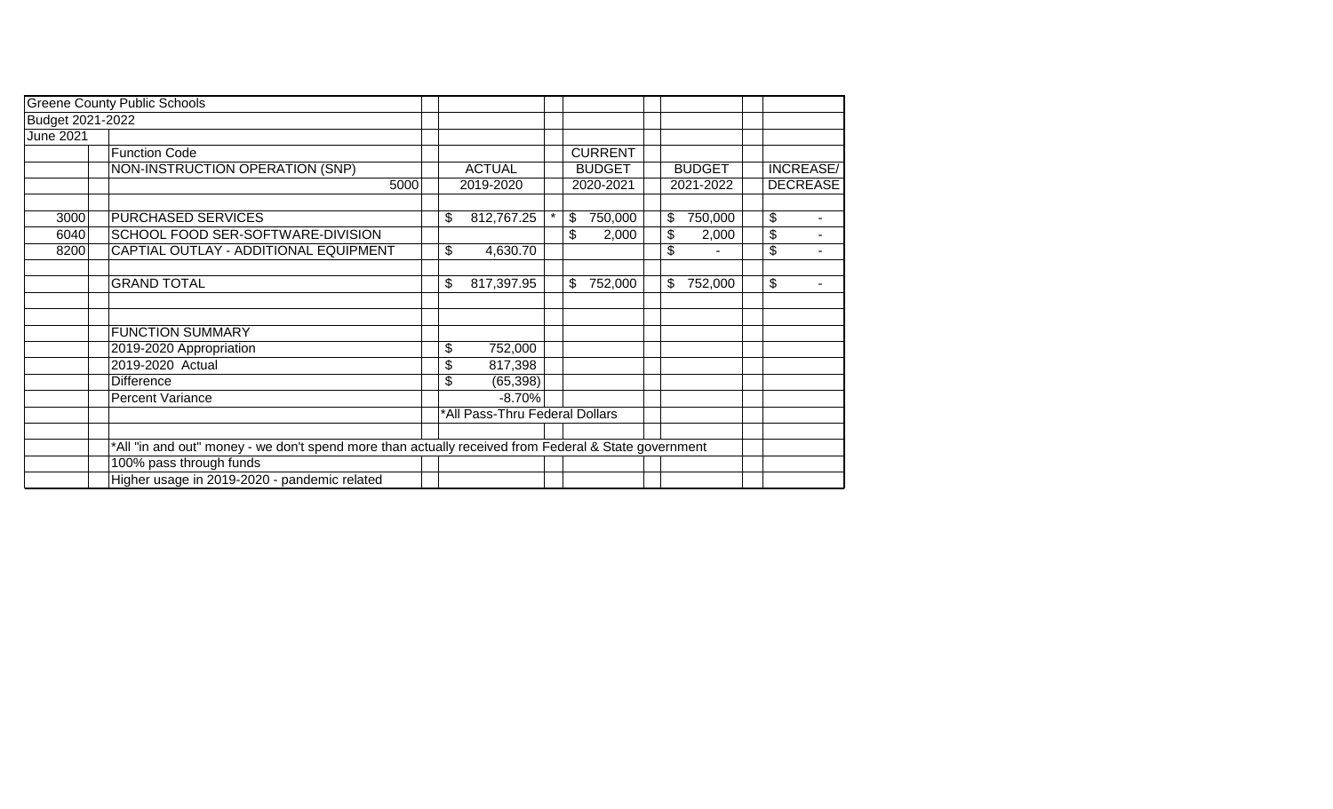|                  | <b>Greene County Public Schools</b>                                                                  |    |                                |         |                |    |               |    |                  |
|------------------|------------------------------------------------------------------------------------------------------|----|--------------------------------|---------|----------------|----|---------------|----|------------------|
| Budget 2021-2022 |                                                                                                      |    |                                |         |                |    |               |    |                  |
| June 2021        |                                                                                                      |    |                                |         |                |    |               |    |                  |
|                  | <b>Function Code</b>                                                                                 |    |                                |         | <b>CURRENT</b> |    |               |    |                  |
|                  | NON-INSTRUCTION OPERATION (SNP)                                                                      |    | <b>ACTUAL</b>                  |         | <b>BUDGET</b>  |    | <b>BUDGET</b> |    | <b>INCREASE/</b> |
|                  | 5000                                                                                                 |    | 2019-2020                      |         | 2020-2021      |    | 2021-2022     |    | <b>DECREASE</b>  |
|                  |                                                                                                      |    |                                |         |                |    |               |    |                  |
| 3000             | PURCHASED SERVICES                                                                                   | \$ | 812,767.25                     | $\star$ | \$<br>750,000  | \$ | 750,000       | \$ |                  |
| 6040             | SCHOOL FOOD SER-SOFTWARE-DIVISION                                                                    |    |                                |         | \$<br>2,000    | \$ | 2,000         | \$ | $\blacksquare$   |
| 8200             | CAPTIAL OUTLAY - ADDITIONAL EQUIPMENT                                                                | \$ | 4,630.70                       |         |                | \$ |               | \$ |                  |
|                  |                                                                                                      |    |                                |         |                |    |               |    |                  |
|                  | <b>GRAND TOTAL</b>                                                                                   | \$ | 817,397.95                     |         | \$<br>752,000  | \$ | 752,000       | \$ |                  |
|                  |                                                                                                      |    |                                |         |                |    |               |    |                  |
|                  |                                                                                                      |    |                                |         |                |    |               |    |                  |
|                  | <b>FUNCTION SUMMARY</b>                                                                              |    |                                |         |                |    |               |    |                  |
|                  | 2019-2020 Appropriation                                                                              | \$ | 752,000                        |         |                |    |               |    |                  |
|                  | 2019-2020 Actual                                                                                     | \$ | 817,398                        |         |                |    |               |    |                  |
|                  | Difference                                                                                           | \$ | (65, 398)                      |         |                |    |               |    |                  |
|                  | <b>Percent Variance</b>                                                                              |    | $-8.70%$                       |         |                |    |               |    |                  |
|                  |                                                                                                      |    | *All Pass-Thru Federal Dollars |         |                |    |               |    |                  |
|                  |                                                                                                      |    |                                |         |                |    |               |    |                  |
|                  | *All "in and out" money - we don't spend more than actually received from Federal & State government |    |                                |         |                |    |               |    |                  |
|                  | 100% pass through funds                                                                              |    |                                |         |                |    |               |    |                  |
|                  | Higher usage in 2019-2020 - pandemic related                                                         |    |                                |         |                |    |               |    |                  |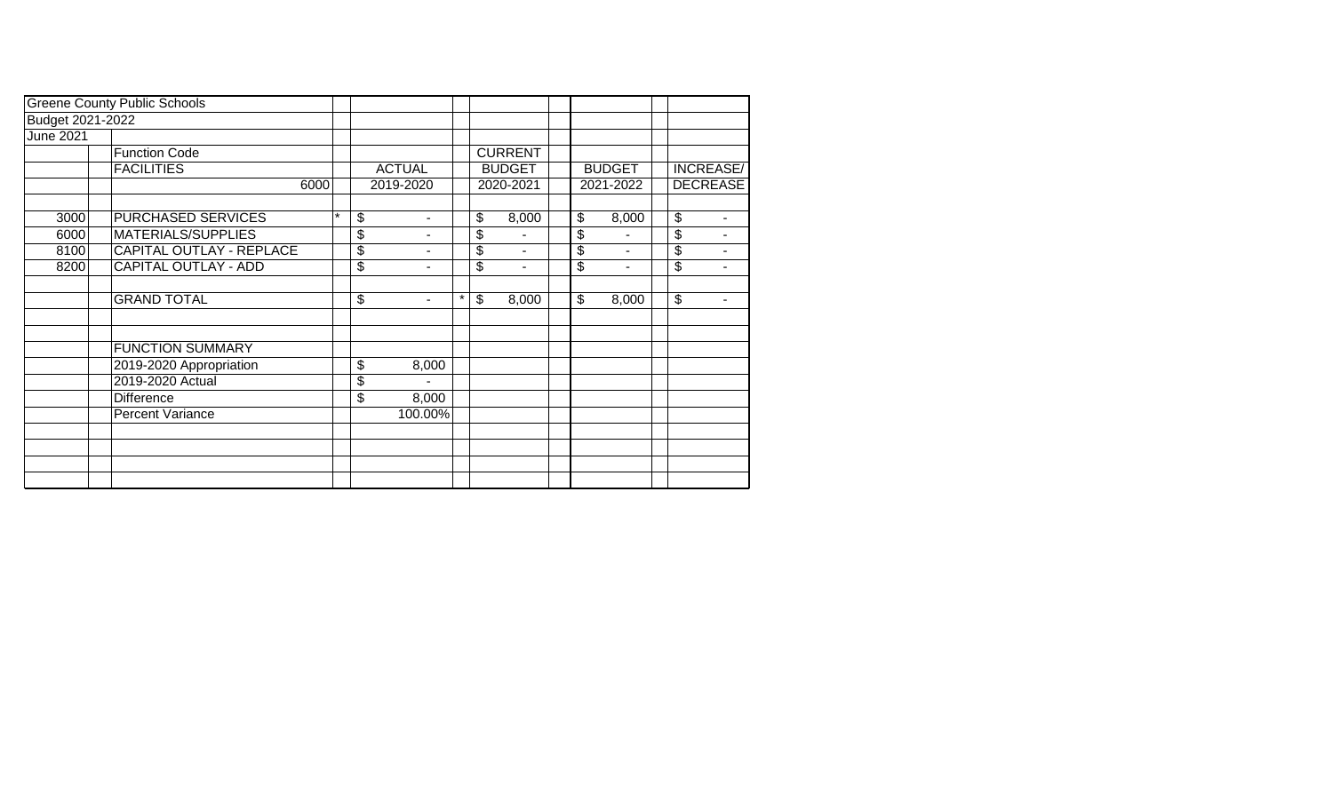|                  | <b>Greene County Public Schools</b> |         |                                |         |                |    |               |                 |   |
|------------------|-------------------------------------|---------|--------------------------------|---------|----------------|----|---------------|-----------------|---|
| Budget 2021-2022 |                                     |         |                                |         |                |    |               |                 |   |
| June 2021        |                                     |         |                                |         |                |    |               |                 |   |
|                  | <b>Function Code</b>                |         |                                |         | <b>CURRENT</b> |    |               |                 |   |
|                  | <b>FACILITIES</b>                   |         | <b>ACTUAL</b>                  |         | <b>BUDGET</b>  |    | <b>BUDGET</b> | INCREASE/       |   |
|                  | 6000                                |         | 2019-2020                      |         | 2020-2021      |    | 2021-2022     | <b>DECREASE</b> |   |
|                  |                                     |         |                                |         |                |    |               |                 |   |
| 3000             | PURCHASED SERVICES                  | $\star$ | \$                             |         | \$<br>8,000    | \$ | 8,000         | \$              |   |
| 6000             | MATERIALS/SUPPLIES                  |         | \$                             |         | \$             | \$ |               | \$              |   |
| 8100             | <b>CAPITAL OUTLAY - REPLACE</b>     |         | \$                             |         | \$<br>۰        | \$ | ۰             | \$              |   |
| 8200             | CAPITAL OUTLAY - ADD                |         | \$                             |         | \$<br>۰        | \$ | ۰             | \$              |   |
|                  |                                     |         |                                |         |                |    |               |                 |   |
|                  | <b>GRAND TOTAL</b>                  |         | \$<br>$\overline{\phantom{a}}$ | $\star$ | \$<br>8,000    | \$ | 8,000         | \$              | ۰ |
|                  |                                     |         |                                |         |                |    |               |                 |   |
|                  |                                     |         |                                |         |                |    |               |                 |   |
|                  | <b>FUNCTION SUMMARY</b>             |         |                                |         |                |    |               |                 |   |
|                  | 2019-2020 Appropriation             |         | \$<br>8,000                    |         |                |    |               |                 |   |
|                  | 2019-2020 Actual                    |         | \$                             |         |                |    |               |                 |   |
|                  | Difference                          |         | \$<br>8,000                    |         |                |    |               |                 |   |
|                  | <b>Percent Variance</b>             |         | 100.00%                        |         |                |    |               |                 |   |
|                  |                                     |         |                                |         |                |    |               |                 |   |
|                  |                                     |         |                                |         |                |    |               |                 |   |
|                  |                                     |         |                                |         |                |    |               |                 |   |
|                  |                                     |         |                                |         |                |    |               |                 |   |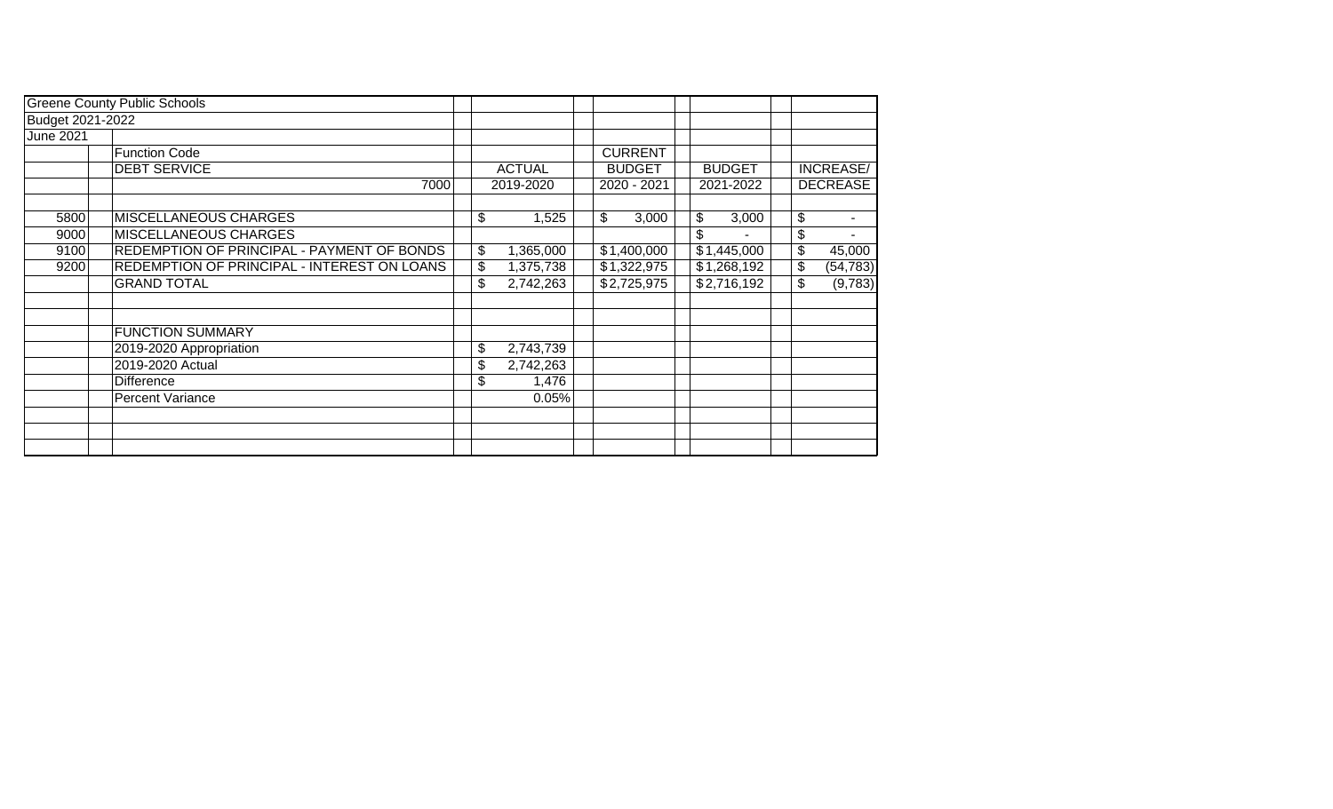|                  | <b>Greene County Public Schools</b>         |                 |                |               |    |                  |
|------------------|---------------------------------------------|-----------------|----------------|---------------|----|------------------|
| Budget 2021-2022 |                                             |                 |                |               |    |                  |
| June 2021        |                                             |                 |                |               |    |                  |
|                  | <b>Function Code</b>                        |                 | <b>CURRENT</b> |               |    |                  |
|                  | <b>DEBT SERVICE</b>                         | <b>ACTUAL</b>   | <b>BUDGET</b>  | <b>BUDGET</b> |    | <b>INCREASE/</b> |
|                  | 7000                                        | 2019-2020       | 2020 - 2021    | 2021-2022     |    | <b>DECREASE</b>  |
|                  |                                             |                 |                |               |    |                  |
| 5800             | MISCELLANEOUS CHARGES                       | \$<br>1,525     | \$<br>3,000    | \$<br>3,000   | \$ | ۰                |
| 9000             | <b>MISCELLANEOUS CHARGES</b>                |                 |                | \$            | \$ |                  |
| 9100             | REDEMPTION OF PRINCIPAL - PAYMENT OF BONDS  | \$<br>1,365,000 | \$1,400,000    | \$1,445,000   | \$ | 45,000           |
| 9200             | REDEMPTION OF PRINCIPAL - INTEREST ON LOANS | \$<br>1,375,738 | \$1,322,975    | \$1,268,192   | \$ | (54, 783)        |
|                  | <b>GRAND TOTAL</b>                          | \$<br>2,742,263 | \$2,725,975    | \$2,716,192   | \$ | (9,783)          |
|                  |                                             |                 |                |               |    |                  |
|                  | <b>FUNCTION SUMMARY</b>                     |                 |                |               |    |                  |
|                  | 2019-2020 Appropriation                     | \$<br>2,743,739 |                |               |    |                  |
|                  | 2019-2020 Actual                            | \$<br>2,742,263 |                |               |    |                  |
|                  | <b>Difference</b>                           | \$<br>1,476     |                |               |    |                  |
|                  | <b>Percent Variance</b>                     | 0.05%           |                |               |    |                  |
|                  |                                             |                 |                |               |    |                  |
|                  |                                             |                 |                |               |    |                  |
|                  |                                             |                 |                |               |    |                  |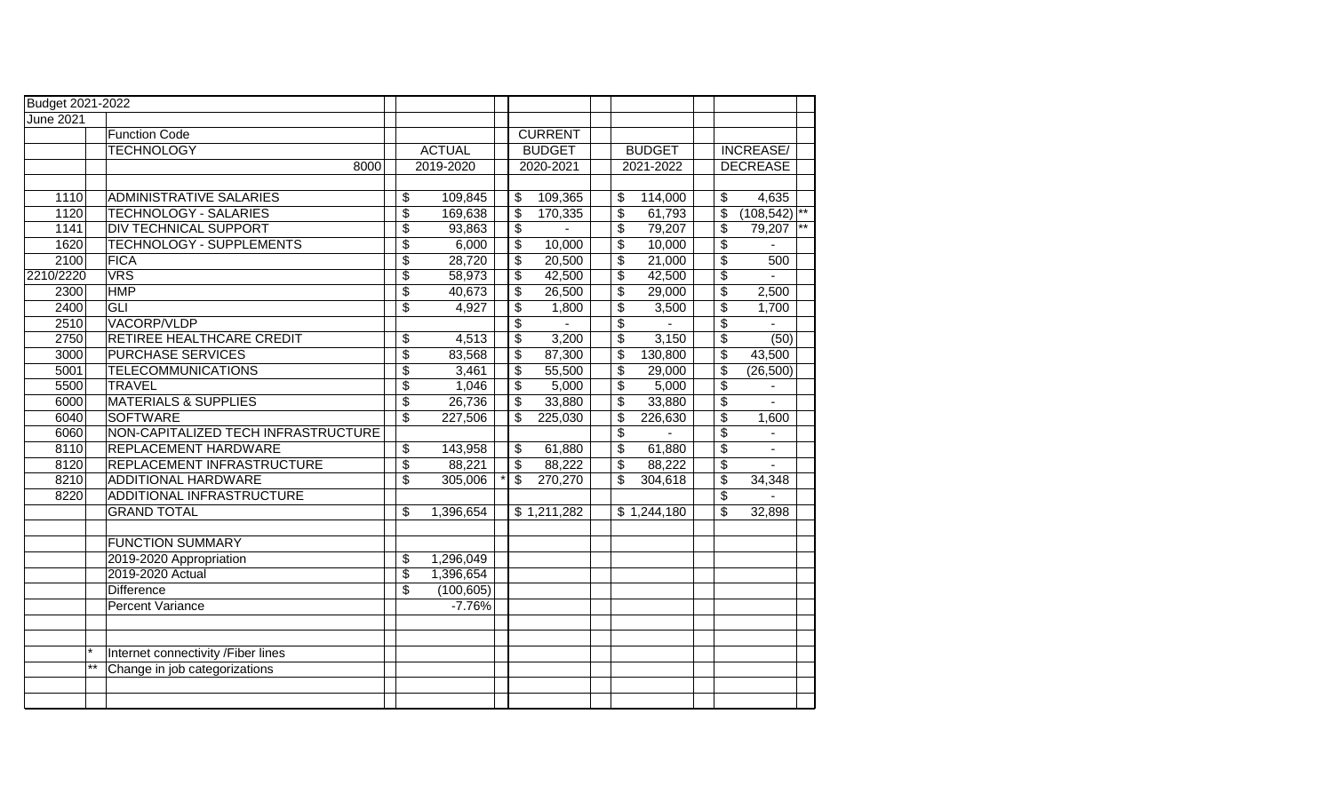| Budget 2021-2022 |       |                                     |                          |               |                          |                          |                                  |               |                           |                   |  |
|------------------|-------|-------------------------------------|--------------------------|---------------|--------------------------|--------------------------|----------------------------------|---------------|---------------------------|-------------------|--|
| <b>June 2021</b> |       |                                     |                          |               |                          |                          |                                  |               |                           |                   |  |
|                  |       | <b>Function Code</b>                |                          |               |                          | <b>CURRENT</b>           |                                  |               |                           |                   |  |
|                  |       | <b>TECHNOLOGY</b>                   |                          | <b>ACTUAL</b> |                          | <b>BUDGET</b>            |                                  | <b>BUDGET</b> |                           | <b>INCREASE/</b>  |  |
|                  |       | 8000                                |                          | 2019-2020     |                          | 2020-2021                |                                  | 2021-2022     |                           | <b>DECREASE</b>   |  |
|                  |       |                                     |                          |               |                          |                          |                                  |               |                           |                   |  |
| 1110             |       | <b>ADMINISTRATIVE SALARIES</b>      | \$                       | 109,845       | \$                       | 109,365                  | \$                               | 114,000       | $\boldsymbol{\mathsf{S}}$ | 4,635             |  |
| 1120             |       | TECHNOLOGY - SALARIES               | $\overline{\$}$          | 169,638       | $\overline{\mathcal{S}}$ | 170,335                  | $\sqrt[6]{\frac{1}{2}}$          | 61,793        | \$                        | $(108, 542)^{**}$ |  |
| 1141             |       | <b>DIV TECHNICAL SUPPORT</b>        | \$                       | 93,863        | \$                       |                          | $\overline{\mathbf{e}}$          | 79,207        | \$                        | 79,207            |  |
| 1620             |       | TECHNOLOGY - SUPPLEMENTS            | $\overline{\$}$          | 6,000         | $\overline{\$}$          | 10,000                   | $\overline{\$}$                  | 10,000        | $\overline{\$}$           |                   |  |
| 2100             |       | <b>FICA</b>                         | $\overline{\$}$          | 28,720        | $\overline{\mathcal{E}}$ | 20,500                   | $\overline{\mathcal{E}}$         | 21,000        | $\overline{\$}$           | 500               |  |
| 2210/2220        |       | <b>VRS</b>                          | \$                       | 58,973        | $\overline{\mathcal{E}}$ | 42,500                   | $\overline{\mathbf{e}}$          | 42,500        | $\overline{\$}$           |                   |  |
| 2300             |       | <b>HMP</b>                          | $\overline{\$}$          | 40,673        | $\overline{\mathcal{G}}$ | 26,500                   | $\overline{\$}$                  | 29,000        | $\overline{\$}$           | 2,500             |  |
| 2400             |       | <b>GLI</b>                          | $\overline{\$}$          | 4,927         | $\overline{\mathcal{L}}$ | 1,800                    | $\overline{\$}$                  | 3,500         | $\overline{\$}$           | 1,700             |  |
| 2510             |       | VACORP/VLDP                         |                          |               | \$                       |                          | $\overline{\$}$                  |               | \$                        |                   |  |
| 2750             |       | RETIREE HEALTHCARE CREDIT           | \$                       | 4,513         | \$                       | 3,200                    | $\overline{\$}$                  | 3,150         | \$                        | (50)              |  |
| 3000             |       | <b>PURCHASE SERVICES</b>            | $\overline{\$}$          | 83,568        | \$                       | 87,300                   | $\overline{\$}$                  | 130,800       | $\overline{\mathbb{S}}$   | 43,500            |  |
| 5001             |       | <b>TELECOMMUNICATIONS</b>           | \$                       | 3,461         | \$                       | 55,500                   | \$                               | 29,000        | \$                        | (26, 500)         |  |
| 5500             |       | <b>TRAVEL</b>                       | $\overline{\mathbf{e}}$  | 1,046         | \$                       | 5,000                    | \$                               | 5,000         | \$                        |                   |  |
| 6000             |       | <b>MATERIALS &amp; SUPPLIES</b>     | $\overline{\$}$          | 26,736        | \$                       | 33,880                   | \$                               | 33,880        | $\overline{\$}$           | $\overline{a}$    |  |
| 6040             |       | <b>SOFTWARE</b>                     | \$                       | 227,506       | \$                       | 225,030                  | \$                               | 226,630       | $\overline{\mathcal{S}}$  | 1,600             |  |
| 6060             |       | NON-CAPITALIZED TECH INFRASTRUCTURE |                          |               |                          |                          | $\overline{\boldsymbol{\theta}}$ |               | $\overline{\$}$           |                   |  |
| 8110             |       | REPLACEMENT HARDWARE                | \$                       | 143,958       | \$                       | 61,880                   | \$                               | 61,880        | \$                        |                   |  |
| 8120             |       | REPLACEMENT INFRASTRUCTURE          | $\overline{\mathcal{E}}$ | 88,221        | \$                       | 88,222                   | $\sqrt[6]{\frac{1}{2}}$          | 88,222        | $\overline{\mathcal{E}}$  |                   |  |
| 8210             |       | <b>ADDITIONAL HARDWARE</b>          | $\overline{\$}$          | 305,006       | \$                       | 270,270                  | \$                               | 304,618       | $\overline{\mathcal{E}}$  | 34,348            |  |
| 8220             |       | ADDITIONAL INFRASTRUCTURE           |                          |               |                          |                          |                                  |               | $\overline{\$}$           |                   |  |
|                  |       | <b>GRAND TOTAL</b>                  | \$                       | 1,396,654     |                          | $\overline{\$1,211,282}$ |                                  | \$1,244,180   | $\overline{\mathbb{S}}$   | 32,898            |  |
|                  |       |                                     |                          |               |                          |                          |                                  |               |                           |                   |  |
|                  |       | <b>FUNCTION SUMMARY</b>             |                          |               |                          |                          |                                  |               |                           |                   |  |
|                  |       | 2019-2020 Appropriation             | \$                       | 1,296,049     |                          |                          |                                  |               |                           |                   |  |
|                  |       | 2019-2020 Actual                    | $\overline{\mathcal{G}}$ | 1,396,654     |                          |                          |                                  |               |                           |                   |  |
|                  |       | <b>Difference</b>                   | \$                       | (100, 605)    |                          |                          |                                  |               |                           |                   |  |
|                  |       | <b>Percent Variance</b>             |                          | $-7.76%$      |                          |                          |                                  |               |                           |                   |  |
|                  |       |                                     |                          |               |                          |                          |                                  |               |                           |                   |  |
|                  |       |                                     |                          |               |                          |                          |                                  |               |                           |                   |  |
|                  |       | Internet connectivity /Fiber lines  |                          |               |                          |                          |                                  |               |                           |                   |  |
|                  | $***$ | Change in job categorizations       |                          |               |                          |                          |                                  |               |                           |                   |  |
|                  |       |                                     |                          |               |                          |                          |                                  |               |                           |                   |  |
|                  |       |                                     |                          |               |                          |                          |                                  |               |                           |                   |  |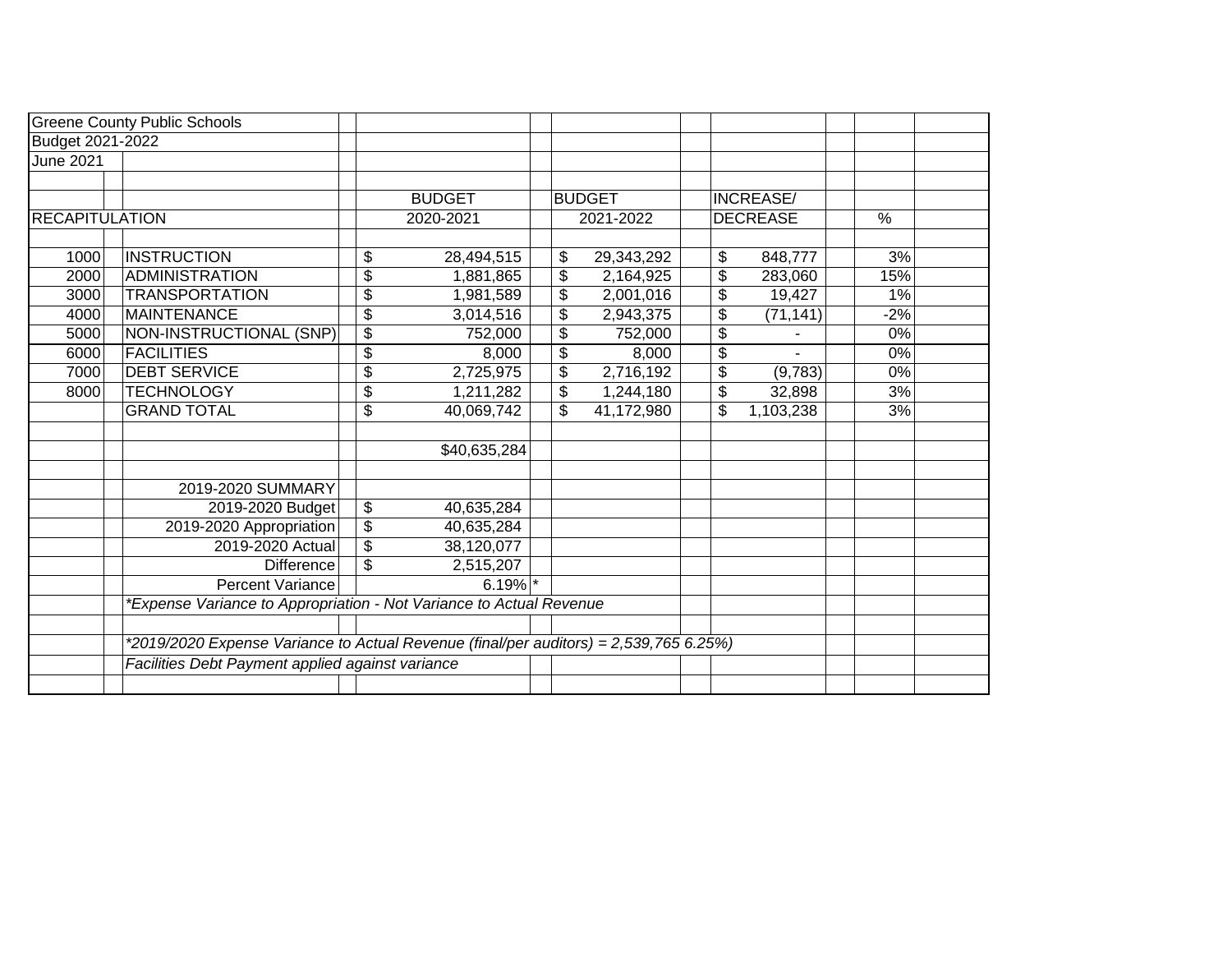|                       | <b>Greene County Public Schools</b>                                                   |                                      |               |                          |               |                  |       |  |
|-----------------------|---------------------------------------------------------------------------------------|--------------------------------------|---------------|--------------------------|---------------|------------------|-------|--|
| Budget 2021-2022      |                                                                                       |                                      |               |                          |               |                  |       |  |
| <b>June 2021</b>      |                                                                                       |                                      |               |                          |               |                  |       |  |
|                       |                                                                                       |                                      |               |                          |               |                  |       |  |
|                       |                                                                                       |                                      | <b>BUDGET</b> |                          | <b>BUDGET</b> | <b>INCREASE/</b> |       |  |
| <b>RECAPITULATION</b> |                                                                                       |                                      | 2020-2021     |                          | 2021-2022     | <b>DECREASE</b>  | %     |  |
|                       |                                                                                       |                                      |               |                          |               |                  |       |  |
| 1000                  | <b>INSTRUCTION</b>                                                                    | \$                                   | 28,494,515    | \$                       | 29,343,292    | \$<br>848,777    | 3%    |  |
| 2000                  | <b>ADMINISTRATION</b>                                                                 | $\overline{\boldsymbol{\mathsf{s}}}$ | 1,881,865     | $\overline{\mathcal{E}}$ | 2,164,925     | \$<br>283,060    | 15%   |  |
| 3000                  | <b>TRANSPORTATION</b>                                                                 | \$                                   | 1,981,589     | \$                       | 2,001,016     | \$<br>19,427     | 1%    |  |
| 4000                  | <b>MAINTENANCE</b>                                                                    | $\boldsymbol{\theta}$                | 3,014,516     | \$                       | 2,943,375     | \$<br>(71, 141)  | $-2%$ |  |
| 5000                  | NON-INSTRUCTIONAL (SNP)                                                               | $\overline{\mathbf{e}}$              | 752,000       | \$                       | 752,000       | \$               | 0%    |  |
| 6000                  | <b>FACILITIES</b>                                                                     | $\overline{\mathcal{S}}$             | 8,000         | \$                       | 8,000         | \$               | 0%    |  |
| 7000                  | <b>DEBT SERVICE</b>                                                                   | \$                                   | 2,725,975     | \$                       | 2,716,192     | \$<br>(9,783)    | 0%    |  |
| 8000                  | <b>TECHNOLOGY</b>                                                                     | \$                                   | 1,211,282     | \$                       | 1,244,180     | \$<br>32,898     | 3%    |  |
|                       | <b>GRAND TOTAL</b>                                                                    | $\overline{\mathbf{S}}$              | 40,069,742    | \$                       | 41,172,980    | \$<br>1,103,238  | 3%    |  |
|                       |                                                                                       |                                      |               |                          |               |                  |       |  |
|                       |                                                                                       |                                      | \$40,635,284  |                          |               |                  |       |  |
|                       |                                                                                       |                                      |               |                          |               |                  |       |  |
|                       | 2019-2020 SUMMARY                                                                     |                                      |               |                          |               |                  |       |  |
|                       | 2019-2020 Budget                                                                      | \$                                   | 40,635,284    |                          |               |                  |       |  |
|                       | 2019-2020 Appropriation                                                               | $\overline{\mathcal{G}}$             | 40,635,284    |                          |               |                  |       |  |
|                       | 2019-2020 Actual                                                                      | $\overline{\$}$                      | 38,120,077    |                          |               |                  |       |  |
|                       | <b>Difference</b>                                                                     | \$                                   | 2,515,207     |                          |               |                  |       |  |
|                       | Percent Variance                                                                      |                                      | $6.19%$ *     |                          |               |                  |       |  |
|                       | *Expense Variance to Appropriation - Not Variance to Actual Revenue                   |                                      |               |                          |               |                  |       |  |
|                       |                                                                                       |                                      |               |                          |               |                  |       |  |
|                       | *2019/2020 Expense Variance to Actual Revenue (final/per auditors) = 2,539,765 6.25%) |                                      |               |                          |               |                  |       |  |
|                       | Facilities Debt Payment applied against variance                                      |                                      |               |                          |               |                  |       |  |
|                       |                                                                                       |                                      |               |                          |               |                  |       |  |